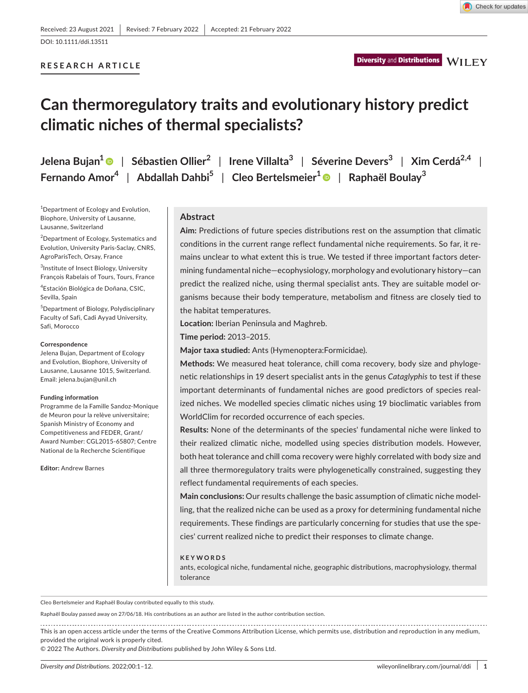# **RESEARCH ARTICLE**

Check for updates

# **Can thermoregulatory traits and evolutionary history predict climatic niches of thermal specialists?**

**Jelena Bujan[1](https://orcid.org/0000-0002-7938-0266)** | **Sébastien Ollier<sup>2</sup>** | **Irene Villalta3** | **Séverine Devers<sup>3</sup>** | **Xim Cerdá2,4** | **Fernando Amor4** | **Abdallah Dahbi5** | **Cleo Bertelsmeier[1](https://orcid.org/0000-0003-3624-1300)** | **Raphaël Boulay<sup>3</sup>**

1 Department of Ecology and Evolution, Biophore, University of Lausanne, Lausanne, Switzerland

<sup>2</sup>Department of Ecology, Systematics and Evolution, University Paris-Saclay, CNRS, AgroParisTech, Orsay, France

3 Institute of Insect Biology, University François Rabelais of Tours, Tours, France

4 Estación Biológica de Doñana, CSIC, Sevilla, Spain

5 Department of Biology, Polydisciplinary Faculty of Safi, Cadi Ayyad University, Safi, Morocco

#### **Correspondence**

Jelena Bujan, Department of Ecology and Evolution, Biophore, University of Lausanne, Lausanne 1015, Switzerland. Email: [jelena.bujan@unil.ch](mailto:jelena.bujan@unil.ch)

#### **Funding information**

Programme de la Famille Sandoz-Monique de Meuron pour la relève universitaire; Spanish Ministry of Economy and Competitiveness and FEDER, Grant/ Award Number: CGL2015-65807; Centre National de la Recherche Scientifique

**Editor:** Andrew Barnes

#### **Abstract**

**Aim:** Predictions of future species distributions rest on the assumption that climatic conditions in the current range reflect fundamental niche requirements. So far, it remains unclear to what extent this is true. We tested if three important factors determining fundamental niche—ecophysiology, morphology and evolutionary history—can predict the realized niche, using thermal specialist ants. They are suitable model organisms because their body temperature, metabolism and fitness are closely tied to the habitat temperatures.

**Location:** Iberian Peninsula and Maghreb.

**Time period:** 2013–2015.

**Major taxa studied:** Ants (Hymenoptera:Formicidae).

**Methods:** We measured heat tolerance, chill coma recovery, body size and phylogenetic relationships in 19 desert specialist ants in the genus *Cataglyphis* to test if these important determinants of fundamental niches are good predictors of species realized niches. We modelled species climatic niches using 19 bioclimatic variables from WorldClim for recorded occurrence of each species.

**Results:** None of the determinants of the species' fundamental niche were linked to their realized climatic niche, modelled using species distribution models. However, both heat tolerance and chill coma recovery were highly correlated with body size and all three thermoregulatory traits were phylogenetically constrained, suggesting they reflect fundamental requirements of each species.

**Main conclusions:** Our results challenge the basic assumption of climatic niche modelling, that the realized niche can be used as a proxy for determining fundamental niche requirements. These findings are particularly concerning for studies that use the species' current realized niche to predict their responses to climate change.

#### **KEYWORDS**

ants, ecological niche, fundamental niche, geographic distributions, macrophysiology, thermal tolerance

Cleo Bertelsmeier and Raphaël Boulay contributed equally to this study.

Raphaël Boulay passed away on 27/06/18. His contributions as an author are listed in the author contribution section.

This is an open access article under the terms of the [Creative Commons Attribution](http://creativecommons.org/licenses/by/4.0/) License, which permits use, distribution and reproduction in any medium, provided the original work is properly cited.

© 2022 The Authors. *Diversity and Distributions* published by John Wiley & Sons Ltd.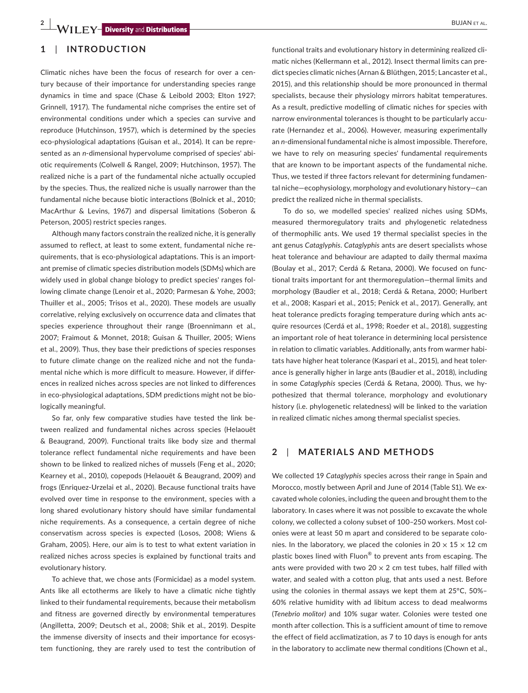## **1**  | **INTRODUCTION**

Climatic niches have been the focus of research for over a century because of their importance for understanding species range dynamics in time and space (Chase & Leibold 2003; Elton 1927; Grinnell, 1917). The fundamental niche comprises the entire set of environmental conditions under which a species can survive and reproduce (Hutchinson, 1957), which is determined by the species eco-physiological adaptations (Guisan et al., 2014). It can be represented as an *n*-dimensional hypervolume comprised of species' abiotic requirements (Colwell & Rangel, 2009; Hutchinson, 1957). The realized niche is a part of the fundamental niche actually occupied by the species. Thus, the realized niche is usually narrower than the fundamental niche because biotic interactions (Bolnick et al., 2010; MacArthur & Levins, 1967) and dispersal limitations (Soberon & Peterson, 2005) restrict species ranges.

Although many factors constrain the realized niche, it is generally assumed to reflect, at least to some extent, fundamental niche requirements, that is eco-physiological adaptations. This is an important premise of climatic species distribution models (SDMs) which are widely used in global change biology to predict species' ranges following climate change (Lenoir et al., 2020; Parmesan & Yohe, 2003; Thuiller et al., 2005; Trisos et al., 2020). These models are usually correlative, relying exclusively on occurrence data and climates that species experience throughout their range (Broennimann et al., 2007; Fraimout & Monnet, 2018; Guisan & Thuiller, 2005; Wiens et al., 2009). Thus, they base their predictions of species responses to future climate change on the realized niche and not the fundamental niche which is more difficult to measure. However, if differences in realized niches across species are not linked to differences in eco-physiological adaptations, SDM predictions might not be biologically meaningful.

So far, only few comparative studies have tested the link between realized and fundamental niches across species (Helaouët & Beaugrand, 2009). Functional traits like body size and thermal tolerance reflect fundamental niche requirements and have been shown to be linked to realized niches of mussels (Feng et al., 2020; Kearney et al., 2010), copepods (Helaouët & Beaugrand, 2009) and frogs (Enriquez-Urzelai et al., 2020). Because functional traits have evolved over time in response to the environment, species with a long shared evolutionary history should have similar fundamental niche requirements. As a consequence, a certain degree of niche conservatism across species is expected (Losos, 2008; Wiens & Graham, 2005). Here, our aim is to test to what extent variation in realized niches across species is explained by functional traits and evolutionary history.

To achieve that, we chose ants (Formicidae) as a model system. Ants like all ectotherms are likely to have a climatic niche tightly linked to their fundamental requirements, because their metabolism and fitness are governed directly by environmental temperatures (Angilletta, 2009; Deutsch et al., 2008; Shik et al., 2019). Despite the immense diversity of insects and their importance for ecosystem functioning, they are rarely used to test the contribution of

functional traits and evolutionary history in determining realized climatic niches (Kellermann et al., 2012). Insect thermal limits can predict species climatic niches (Arnan & Blüthgen, 2015; Lancaster et al., 2015), and this relationship should be more pronounced in thermal specialists, because their physiology mirrors habitat temperatures. As a result, predictive modelling of climatic niches for species with narrow environmental tolerances is thought to be particularly accurate (Hernandez et al., 2006). However, measuring experimentally an *n*-dimensional fundamental niche is almost impossible. Therefore, we have to rely on measuring species' fundamental requirements that are known to be important aspects of the fundamental niche. Thus, we tested if three factors relevant for determining fundamental niche—ecophysiology, morphology and evolutionary history—can predict the realized niche in thermal specialists.

To do so, we modelled species' realized niches using SDMs, measured thermoregulatory traits and phylogenetic relatedness of thermophilic ants. We used 19 thermal specialist species in the ant genus *Cataglyphis*. *Cataglyphis* ants are desert specialists whose heat tolerance and behaviour are adapted to daily thermal maxima (Boulay et al., 2017; Cerdá & Retana, 2000). We focused on functional traits important for ant thermoregulation—thermal limits and morphology (Baudier et al., 2018; Cerdá & Retana, 2000; Hurlbert et al., 2008; Kaspari et al., 2015; Penick et al., 2017). Generally, ant heat tolerance predicts foraging temperature during which ants acquire resources (Cerdá et al., 1998; Roeder et al., 2018), suggesting an important role of heat tolerance in determining local persistence in relation to climatic variables. Additionally, ants from warmer habitats have higher heat tolerance (Kaspari et al., 2015), and heat tolerance is generally higher in large ants (Baudier et al., 2018), including in some *Cataglyphis* species (Cerdá & Retana, 2000). Thus, we hypothesized that thermal tolerance, morphology and evolutionary history (i.e. phylogenetic relatedness) will be linked to the variation in realized climatic niches among thermal specialist species.

# **2**  | **MATERIALS AND METHODS**

We collected 19 *Cataglyphis* species across their range in Spain and Morocco, mostly between April and June of 2014 (Table S1). We excavated whole colonies, including the queen and brought them to the laboratory. In cases where it was not possible to excavate the whole colony, we collected a colony subset of 100–250 workers. Most colonies were at least 50 m apart and considered to be separate colonies. In the laboratory, we placed the colonies in 20  $\times$  15  $\times$  12 cm plastic boxes lined with Fluon® to prevent ants from escaping. The ants were provided with two 20  $\times$  2 cm test tubes, half filled with water, and sealed with a cotton plug, that ants used a nest. Before using the colonies in thermal assays we kept them at 25°C, 50%– 60% relative humidity with ad libitum access to dead mealworms (*Tenebrio molitor)* and 10% sugar water. Colonies were tested one month after collection. This is a sufficient amount of time to remove the effect of field acclimatization, as 7 to 10 days is enough for ants in the laboratory to acclimate new thermal conditions (Chown et al.,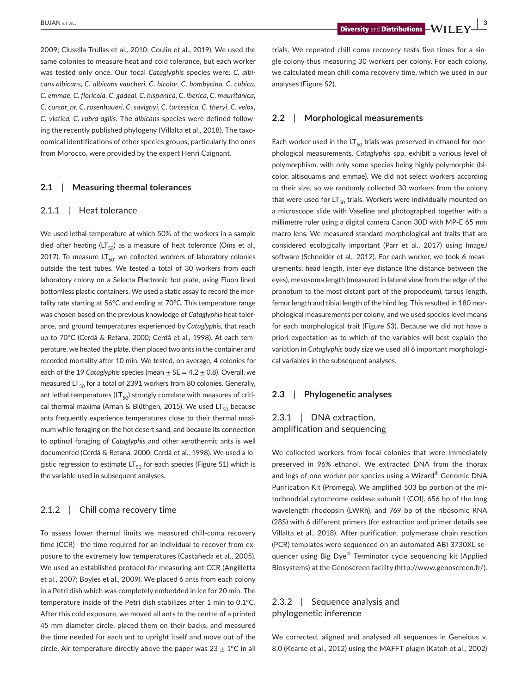**BUJAN** ET AL. *<b>Diversity and Distributions*  $\frac{1}{2}$   $\frac{3}{4}$  **Diversity** and **Distributions**  $\frac{1}{2}$ 

2009; Clusella-Trullas et al., 2010; Coulin et al., 2019). We used the same colonies to measure heat and cold tolerance, but each worker was tested only once. Our focal *Cataglyphis* species were: *C. albicans albicans, C. albicans vaucheri, C. bicolor, C. bombycina, C. cubica, C. emmae, C. floricola, C. gadeai, C. hispanica, C. iberica, C. mauritanica, C. cursor\_nr, C. rosenhaueri, C. savignyi, C. tartessica, C. theryi, C. velox, C. viatica, C. rubra agilis*. The *albicans* species were defined following the recently published phylogeny (Villalta et al., 2018). The taxonomical identifications of other species groups, particularly the ones from Morocco, were provided by the expert Henri Caignant.

#### **2.1**  | **Measuring thermal tolerances**

#### 2.1.1 | Heat tolerance

We used lethal temperature at which 50% of the workers in a sample died after heating (LT<sub>50</sub>) as a measure of heat tolerance (Oms et al., 2017). To measure  $LT_{50}$ , we collected workers of laboratory colonies outside the test tubes. We tested a total of 30 workers from each laboratory colony on a Selecta Plactronic hot plate, using Fluon lined bottomless plastic containers. We used a static assay to record the mortality rate starting at 56°C and ending at 70°C. This temperature range was chosen based on the previous knowledge of *Cataglyphis* heat tolerance, and ground temperatures experienced by *Cataglyphis*, that reach up to 70°C (Cerdá & Retana, 2000; Cerdá et al., 1998). At each temperature, we heated the plate, then placed two ants in the container and recorded mortality after 10 min. We tested, on average, 4 colonies for each of the 19 *Cataglyphis* species (mean  $\pm$  SE = 4.2  $\pm$  0.8). Overall, we measured LT $_{50}$  for a total of 2391 workers from 80 colonies. Generally, ant lethal temperatures ( $LT_{50}$ ) strongly correlate with measures of critical thermal maxima (Arnan & Blüthgen, 2015). We used LT $_{50}$  because ants frequently experience temperatures close to their thermal maximum while foraging on the hot desert sand, and because its connection to optimal foraging of *Cataglyphis* and other xerothermic ants is well documented (Cerdá & Retana, 2000; Cerdá et al., 1998). We used a logistic regression to estimate  $LT_{50}$  for each species (Figure S1) which is the variable used in subsequent analyses.

#### 2.1.2 | Chill coma recovery time

To assess lower thermal limits we measured chill-coma recovery time (CCR)—the time required for an individual to recover from exposure to the extremely low temperatures (Castañeda et al., 2005). We used an established protocol for measuring ant CCR (Angilletta et al., 2007; Boyles et al., 2009). We placed 6 ants from each colony in a Petri dish which was completely embedded in ice for 20 min. The temperature inside of the Petri dish stabilizes after 1 min to 0.1°C. After this cold exposure, we moved all ants to the centre of a printed 45 mm diameter circle, placed them on their backs, and measured the time needed for each ant to upright itself and move out of the circle. Air temperature directly above the paper was  $23 \pm 1^{\circ}$ C in all

trials. We repeated chill coma recovery tests five times for a single colony thus measuring 30 workers per colony. For each colony, we calculated mean chill coma recovery time, which we used in our analyses (Figure S2).

#### **2.2**  | **Morphological measurements**

Each worker used in the  $LT_{50}$  trials was preserved in ethanol for morphological measurements. *Cataglyphis* spp. exhibit a various level of polymorphism, with only some species being highly polymorphic (bicolor, altisquamis and emmae). We did not select workers according to their size, so we randomly collected 30 workers from the colony that were used for  $LT_{50}$  trials. Workers were individually mounted on a microscope slide with Vaseline and photographed together with a millimetre ruler using a digital camera Canon 30D with MP-E 65 mm macro lens. We measured standard morphological ant traits that are considered ecologically important (Parr et al., 2017) using ImageJ software (Schneider et al., 2012). For each worker, we took 6 measurements: head length, inter eye distance (the distance between the eyes), mesosoma length (measured in lateral view from the edge of the pronotum to the most distant part of the propodeum), tarsus length, femur length and tibial length of the hind leg. This resulted in 180 morphological measurements per colony, and we used species level means for each morphological trait (Figure S3). Because we did not have a priori expectation as to which of the variables will best explain the variation in *Cataglyphis* body size we used all 6 important morphological variables in the subsequent analyses.

#### **2.3**  | **Phylogenetic analyses**

# 2.3.1 | DNA extraction, amplification and sequencing

We collected workers from focal colonies that were immediately preserved in 96% ethanol. We extracted DNA from the thorax and legs of one worker per species using a Wizard® Genomic DNA Purification Kit (Promega). We amplified 503 bp portion of the mitochondrial cytochrome oxidase subunit I (COI), 656 bp of the long wavelength rhodopsin (LWRh), and 769 bp of the ribosomic RNA (28S) with 6 different primers (for extraction and primer details see Villalta et al., 2018). After purification, polymerase chain reaction (PCR) templates were sequenced on an automated ABI 3730XL sequencer using Big Dye® Terminator cycle sequencing kit (Applied Biosystems) at the Genoscreen facility ([http://www.genoscreen.fr/\)](http://www.genoscreen.fr/).

# 2.3.2 | Sequence analysis and phylogenetic inference

We corrected, aligned and analysed all sequences in Geneious v. 8.0 (Kearse et al., 2012) using the MAFFT plugin (Katoh et al., 2002)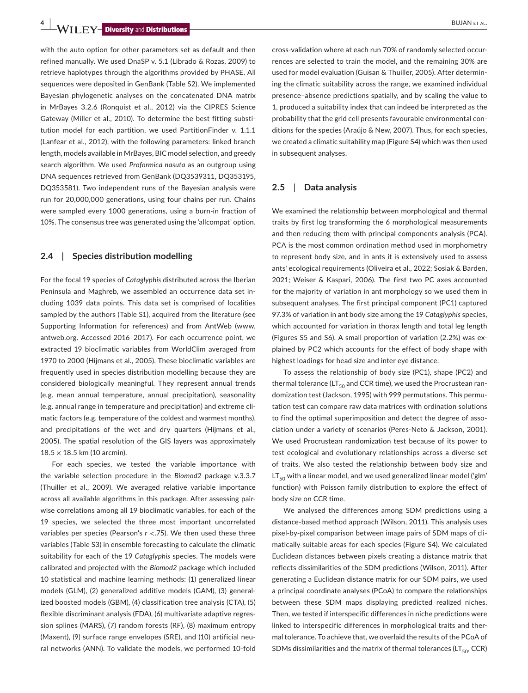**4 b bu EV biversity** and **Distributions** 

with the auto option for other parameters set as default and then refined manually. We used DnaSP v. 5.1 (Librado & Rozas, 2009) to retrieve haplotypes through the algorithms provided by PHASE. All sequences were deposited in GenBank (Table S2). We implemented Bayesian phylogenetic analyses on the concatenated DNA matrix in MrBayes 3.2.6 (Ronquist et al., 2012) via the CIPRES Science Gateway (Miller et al., 2010). To determine the best fitting substitution model for each partition, we used PartitionFinder v. 1.1.1 (Lanfear et al., 2012), with the following parameters: linked branch length, models available in MrBayes, BIC model selection, and greedy search algorithm. We used *Proformica nasuta* as an outgroup using DNA sequences retrieved from GenBank [\(DQ3539311](info:refseq/DQ3539311), [DQ353195,](info:refseq/DQ353195) [DQ353581](info:refseq/DQ353581)). Two independent runs of the Bayesian analysis were run for 20,000,000 generations, using four chains per run. Chains were sampled every 1000 generations, using a burn-in fraction of 10%. The consensus tree was generated using the 'allcompat' option.

#### **2.4**  | **Species distribution modelling**

For the focal 19 species of *Cataglyphis* distributed across the Iberian Peninsula and Maghreb, we assembled an occurrence data set including 1039 data points. This data set is comprised of localities sampled by the authors (Table S1), acquired from the literature (see Supporting Information for references) and from AntWeb [\(www.](http://www.antweb.org) [antweb.org.](http://www.antweb.org) Accessed 2016–2017). For each occurrence point, we extracted 19 bioclimatic variables from WorldClim averaged from 1970 to 2000 (Hijmans et al., 2005). These bioclimatic variables are frequently used in species distribution modelling because they are considered biologically meaningful. They represent annual trends (e.g. mean annual temperature, annual precipitation), seasonality (e.g. annual range in temperature and precipitation) and extreme climatic factors (e.g. temperature of the coldest and warmest months), and precipitations of the wet and dry quarters (Hijmans et al., 2005). The spatial resolution of the GIS layers was approximately  $18.5 \times 18.5$  km (10 arcmin).

For each species, we tested the variable importance with the variable selection procedure in the *Biomod2* package v.3.3.7 (Thuiller et al., 2009). We averaged relative variable importance across all available algorithms in this package. After assessing pairwise correlations among all 19 bioclimatic variables, for each of the 19 species, we selected the three most important uncorrelated variables per species (Pearson's *r* <.75). We then used these three variables (Table S3) in ensemble forecasting to calculate the climatic suitability for each of the 19 *Cataglyphis* species. The models were calibrated and projected with the *Biomod2* package which included 10 statistical and machine learning methods: (1) generalized linear models (GLM), (2) generalized additive models (GAM), (3) generalized boosted models (GBM), (4) classification tree analysis (CTA), (5) flexible discriminant analysis (FDA), (6) multivariate adaptive regression splines (MARS), (7) random forests (RF), (8) maximum entropy (Maxent), (9) surface range envelopes (SRE), and (10) artificial neural networks (ANN). To validate the models, we performed 10-fold

cross-validation where at each run 70% of randomly selected occurrences are selected to train the model, and the remaining 30% are used for model evaluation (Guisan & Thuiller, 2005). After determining the climatic suitability across the range, we examined individual presence–absence predictions spatially, and by scaling the value to 1, produced a suitability index that can indeed be interpreted as the probability that the grid cell presents favourable environmental conditions for the species (Araújo & New, 2007). Thus, for each species, we created a climatic suitability map (Figure S4) which was then used in subsequent analyses.

#### **2.5**  | **Data analysis**

We examined the relationship between morphological and thermal traits by first log transforming the 6 morphological measurements and then reducing them with principal components analysis (PCA). PCA is the most common ordination method used in morphometry to represent body size, and in ants it is extensively used to assess ants' ecological requirements (Oliveira et al., 2022; Sosiak & Barden, 2021; Weiser & Kaspari, 2006). The first two PC axes accounted for the majority of variation in ant morphology so we used them in subsequent analyses. The first principal component (PC1) captured 97.3% of variation in ant body size among the 19 *Cataglyphis* species, which accounted for variation in thorax length and total leg length (Figures S5 and S6). A small proportion of variation (2.2%) was explained by PC2 which accounts for the effect of body shape with highest loadings for head size and inter eye distance.

To assess the relationship of body size (PC1), shape (PC2) and thermal tolerance (LT $_{50}$  and CCR time), we used the Procrustean randomization test (Jackson, 1995) with 999 permutations. This permutation test can compare raw data matrices with ordination solutions to find the optimal superimposition and detect the degree of association under a variety of scenarios (Peres-Neto & Jackson, 2001). We used Procrustean randomization test because of its power to test ecological and evolutionary relationships across a diverse set of traits. We also tested the relationship between body size and  $LT_{50}$  with a linear model, and we used generalized linear model ('glm' function) with Poisson family distribution to explore the effect of body size on CCR time.

We analysed the differences among SDM predictions using a distance-based method approach (Wilson, 2011). This analysis uses pixel-by-pixel comparison between image pairs of SDM maps of climatically suitable areas for each species (Figure S4). We calculated Euclidean distances between pixels creating a distance matrix that reflects dissimilarities of the SDM predictions (Wilson, 2011). After generating a Euclidean distance matrix for our SDM pairs, we used a principal coordinate analyses (PCoA) to compare the relationships between these SDM maps displaying predicted realized niches. Then, we tested if interspecific differences in niche predictions were linked to interspecific differences in morphological traits and thermal tolerance. To achieve that, we overlaid the results of the PCoA of SDMs dissimilarities and the matrix of thermal tolerances ( $LT_{50}$ , CCR)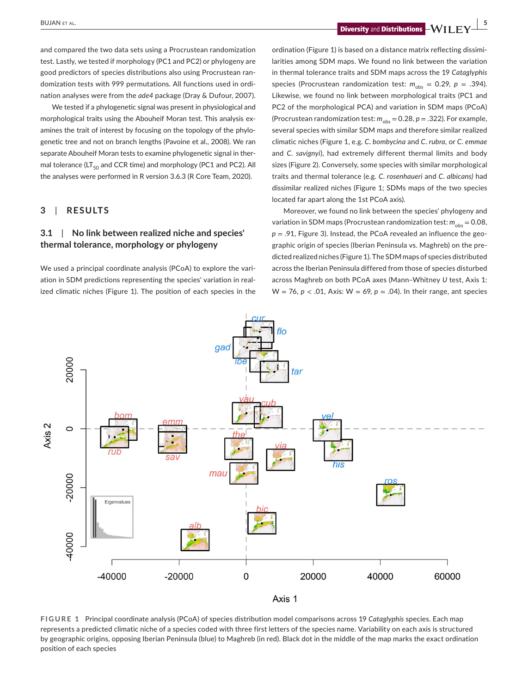**BUJAN** ET AL. **Diversity** and **Distributions** 

and compared the two data sets using a Procrustean randomization test. Lastly, we tested if morphology (PC1 and PC2) or phylogeny are good predictors of species distributions also using Procrustean randomization tests with 999 permutations. All functions used in ordination analyses were from the *ade4* package (Dray & Dufour, 2007).

We tested if a phylogenetic signal was present in physiological and morphological traits using the Abouheif Moran test. This analysis examines the trait of interest by focusing on the topology of the phylogenetic tree and not on branch lengths (Pavoine et al., 2008). We ran separate Abouheif Moran tests to examine phylogenetic signal in thermal tolerance (LT $_{50}$  and CCR time) and morphology (PC1 and PC2). All the analyses were performed in R version 3.6.3 (R Core Team, 2020).

# **3**  | **RESULTS**

# **3.1**  | **No link between realized niche and species' thermal tolerance, morphology or phylogeny**

We used a principal coordinate analysis (PCoA) to explore the variation in SDM predictions representing the species' variation in realized climatic niches (Figure 1). The position of each species in the

ordination (Figure 1) is based on a distance matrix reflecting dissimilarities among SDM maps. We found no link between the variation in thermal tolerance traits and SDM maps across the 19 *Cataglyphis* species (Procrustean randomization test:  $m_{obs} = 0.29$ ,  $p = .394$ ). Likewise, we found no link between morphological traits (PC1 and PC2 of the morphological PCA) and variation in SDM maps (PCoA) (Procrustean randomization test:  $m_{obs} = 0.28$ ,  $p = .322$ ). For example, several species with similar SDM maps and therefore similar realized climatic niches (Figure 1, e.g. *C. bombycina* and *C. rubra*, or *C. emmae* and *C. savignyi*), had extremely different thermal limits and body sizes (Figure 2). Conversely, some species with similar morphological traits and thermal tolerance (e.g. *C. rosenhaueri* and *C. albicans)* had dissimilar realized niches (Figure 1; SDMs maps of the two species located far apart along the 1st PCoA axis).

Moreover, we found no link between the species' phylogeny and variation in SDM maps (Procrustean randomization test:  $m_{obs} = 0.08$ , *p* = .91, Figure 3). Instead, the PCoA revealed an influence the geographic origin of species (Iberian Peninsula vs. Maghreb) on the predicted realized niches (Figure 1). The SDM maps of species distributed across the Iberian Peninsula differed from those of species disturbed across Maghreb on both PCoA axes (Mann–Whitney *U* test, Axis 1: W = 76, *p* < .01, Axis: W = 69, *p* = .04). In their range, ant species



**FIGURE 1** Principal coordinate analysis (PCoA) of species distribution model comparisons across 19 *Cataglyphis* species. Each map represents a predicted climatic niche of a species coded with three first letters of the species name. Variability on each axis is structured by geographic origins, opposing Iberian Peninsula (blue) to Maghreb (in red). Black dot in the middle of the map marks the exact ordination position of each species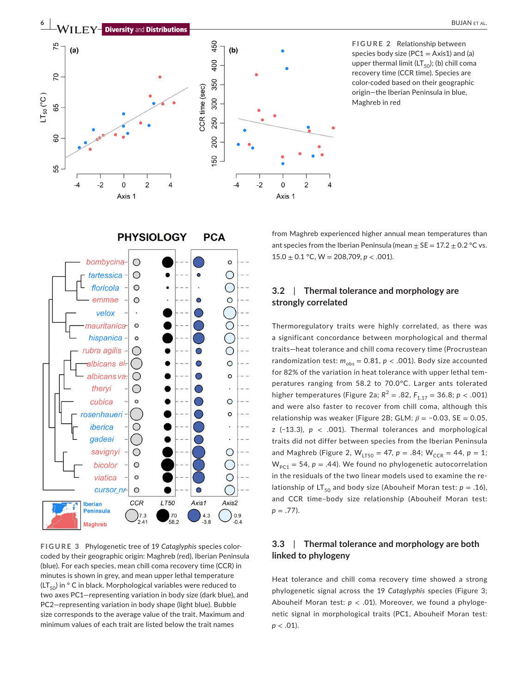

**FIGURE 2** Relationship between species body size (PC1 = Axis1) and (a) upper thermal limit ( $LT_{50}$ ); (b) chill coma recovery time (CCR time). Species are color-coded based on their geographic origin—the Iberian Peninsula in blue, Maghreb in red





**FIGURE 3** Phylogenetic tree of 19 *Cataglyphis* species colorcoded by their geographic origin: Maghreb (red), Iberian Peninsula (blue). For each species, mean chill coma recovery time (CCR) in minutes is shown in grey, and mean upper lethal temperature  $(LT_{50})$  in ° C in black. Morphological variables were reduced to two axes PC1—representing variation in body size (dark blue), and PC2—representing variation in body shape (light blue). Bubble size corresponds to the average value of the trait. Maximum and minimum values of each trait are listed below the trait names

from Maghreb experienced higher annual mean temperatures than ant species from the Iberian Peninsula (mean  $\pm$  SE = 17.2  $\pm$  0.2 °C vs.  $15.0 \pm 0.1$  °C, W = 208,709, p < .001).

# **3.2**  | **Thermal tolerance and morphology are strongly correlated**

Thermoregulatory traits were highly correlated, as there was a significant concordance between morphological and thermal traits—heat tolerance and chill coma recovery time (Procrustean randomization test:  $m_{\text{obs}} = 0.81$ ,  $p < .001$ ). Body size accounted for 82% of the variation in heat tolerance with upper lethal temperatures ranging from 58.2 to 70.0°C. Larger ants tolerated higher temperatures (Figure 2a;  $R^2 = .82$ ,  $F_{1.17} = 36.8$ ;  $p < .001$ ) and were also faster to recover from chill coma, although this relationship was weaker (Figure 2B; GLM: *β* = −0.03, SE = 0.05, z (−13.3), *p* < .001). Thermal tolerances and morphological traits did not differ between species from the Iberian Peninsula and Maghreb (Figure 2,  $W_{LT50} = 47$ ,  $p = .84$ ;  $W_{CCR} = 44$ ,  $p = 1$ ;  $W_{P C1} = 54$ ,  $p = .44$ ). We found no phylogenetic autocorrelation in the residuals of the two linear models used to examine the relationship of  $LT_{50}$  and body size (Abouheif Moran test:  $p = .16$ ), and CCR time–body size relationship (Abouheif Moran test: *p* = .77).

# **3.3**  | **Thermal tolerance and morphology are both linked to phylogeny**

Heat tolerance and chill coma recovery time showed a strong phylogenetic signal across the 19 *Cataglyphis* species (Figure 3; Abouheif Moran test: *p* < .01). Moreover, we found a phylogenetic signal in morphological traits (PC1, Abouheif Moran test: *p* < .01).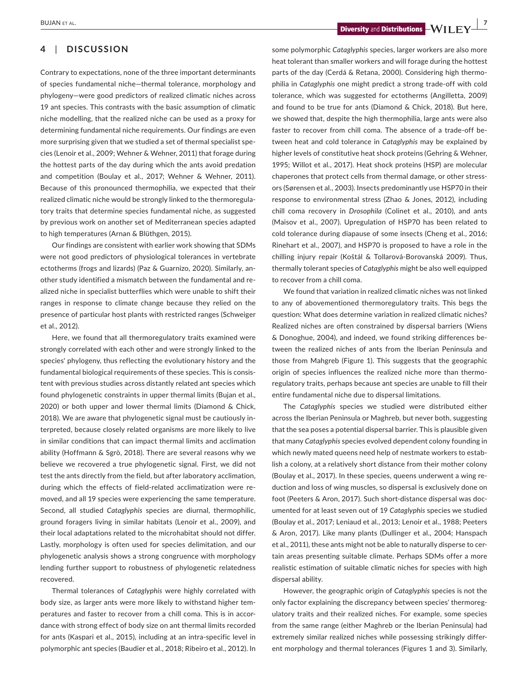# **4**  | **DISCUSSION**

Contrary to expectations, none of the three important determinants of species fundamental niche—thermal tolerance, morphology and phylogeny—were good predictors of realized climatic niches across 19 ant species. This contrasts with the basic assumption of climatic niche modelling, that the realized niche can be used as a proxy for determining fundamental niche requirements. Our findings are even more surprising given that we studied a set of thermal specialist species (Lenoir et al., 2009; Wehner & Wehner, 2011) that forage during the hottest parts of the day during which the ants avoid predation and competition (Boulay et al., 2017; Wehner & Wehner, 2011). Because of this pronounced thermophilia, we expected that their realized climatic niche would be strongly linked to the thermoregulatory traits that determine species fundamental niche, as suggested by previous work on another set of Mediterranean species adapted to high temperatures (Arnan & Blüthgen, 2015).

Our findings are consistent with earlier work showing that SDMs were not good predictors of physiological tolerances in vertebrate ectotherms (frogs and lizards) (Paz & Guarnizo, 2020). Similarly, another study identified a mismatch between the fundamental and realized niche in specialist butterflies which were unable to shift their ranges in response to climate change because they relied on the presence of particular host plants with restricted ranges (Schweiger et al., 2012).

Here, we found that all thermoregulatory traits examined were strongly correlated with each other and were strongly linked to the species' phylogeny, thus reflecting the evolutionary history and the fundamental biological requirements of these species. This is consistent with previous studies across distantly related ant species which found phylogenetic constraints in upper thermal limits (Bujan et al., 2020) or both upper and lower thermal limits (Diamond & Chick, 2018). We are aware that phylogenetic signal must be cautiously interpreted, because closely related organisms are more likely to live in similar conditions that can impact thermal limits and acclimation ability (Hoffmann & Sgrò, 2018). There are several reasons why we believe we recovered a true phylogenetic signal. First, we did not test the ants directly from the field, but after laboratory acclimation, during which the effects of field-related acclimatization were removed, and all 19 species were experiencing the same temperature. Second, all studied *Cataglyphis* species are diurnal, thermophilic, ground foragers living in similar habitats (Lenoir et al., 2009), and their local adaptations related to the microhabitat should not differ. Lastly, morphology is often used for species delimitation, and our phylogenetic analysis shows a strong congruence with morphology lending further support to robustness of phylogenetic relatedness recovered.

Thermal tolerances of *Cataglyphis* were highly correlated with body size, as larger ants were more likely to withstand higher temperatures and faster to recover from a chill coma. This is in accordance with strong effect of body size on ant thermal limits recorded for ants (Kaspari et al., 2015), including at an intra-specific level in polymorphic ant species (Baudier et al., 2018; Ribeiro et al., 2012). In

**Diversity** and **Distributions**  $-\mathbf{W}$  **I F**  $\mathbf{V}$  **<sup>7</sup>** 

some polymorphic *Cataglyphis* species, larger workers are also more heat tolerant than smaller workers and will forage during the hottest parts of the day (Cerdá & Retana, 2000). Considering high thermophilia in *Cataglyphis* one might predict a strong trade-off with cold tolerance, which was suggested for ectotherms (Angilletta, 2009) and found to be true for ants (Diamond & Chick, 2018). But here, we showed that, despite the high thermophilia, large ants were also faster to recover from chill coma. The absence of a trade-off between heat and cold tolerance in *Cataglyphis* may be explained by higher levels of constitutive heat shock proteins (Gehring & Wehner, 1995; Willot et al., 2017). Heat shock proteins (HSP) are molecular chaperones that protect cells from thermal damage, or other stressors (Sørensen et al., 2003). Insects predominantly use HSP70 in their response to environmental stress (Zhao & Jones, 2012), including chill coma recovery in *Drosophila* (Colinet et al., 2010), and ants (Maisov et al., 2007). Upregulation of HSP70 has been related to cold tolerance during diapause of some insects (Cheng et al., 2016; Rinehart et al., 2007), and HSP70 is proposed to have a role in the chilling injury repair (Koštál & Tollarová-Borovanská 2009). Thus, thermally tolerant species of *Cataglyphis* might be also well equipped to recover from a chill coma.

We found that variation in realized climatic niches was not linked to any of abovementioned thermoregulatory traits. This begs the question: What does determine variation in realized climatic niches? Realized niches are often constrained by dispersal barriers (Wiens & Donoghue, 2004), and indeed, we found striking differences between the realized niches of ants from the Iberian Peninsula and those from Mahgreb (Figure 1). This suggests that the geographic origin of species influences the realized niche more than thermoregulatory traits, perhaps because ant species are unable to fill their entire fundamental niche due to dispersal limitations.

The *Cataglyphis* species we studied were distributed either across the Iberian Peninsula or Maghreb, but never both, suggesting that the sea poses a potential dispersal barrier. This is plausible given that many *Cataglyphis* species evolved dependent colony founding in which newly mated queens need help of nestmate workers to establish a colony, at a relatively short distance from their mother colony (Boulay et al., 2017). In these species, queens underwent a wing reduction and loss of wing muscles, so dispersal is exclusively done on foot (Peeters & Aron, 2017). Such short-distance dispersal was documented for at least seven out of 19 *Cataglyphis* species we studied (Boulay et al., 2017; Leniaud et al., 2013; Lenoir et al., 1988; Peeters & Aron, 2017). Like many plants (Dullinger et al., 2004; Hanspach et al., 2011), these ants might not be able to naturally disperse to certain areas presenting suitable climate. Perhaps SDMs offer a more realistic estimation of suitable climatic niches for species with high dispersal ability.

However, the geographic origin of *Cataglyphis* species is not the only factor explaining the discrepancy between species' thermoregulatory traits and their realized niches. For example, some species from the same range (either Maghreb or the Iberian Peninsula) had extremely similar realized niches while possessing strikingly different morphology and thermal tolerances (Figures 1 and 3). Similarly,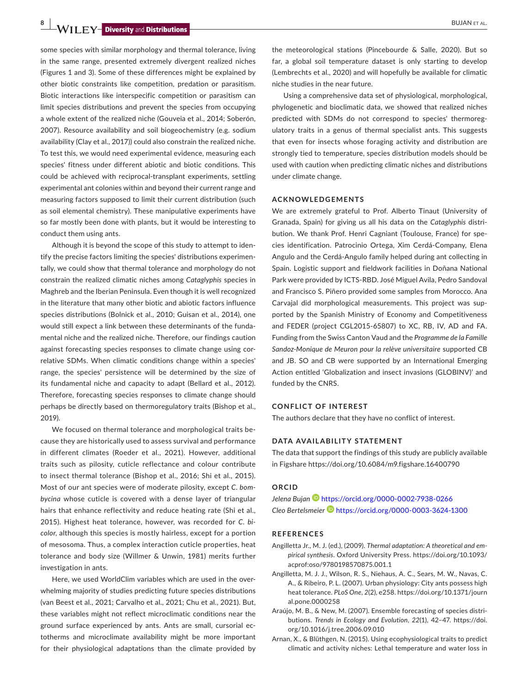**8 | W I I EV** *Diversity and Distributions* 

some species with similar morphology and thermal tolerance, living in the same range, presented extremely divergent realized niches (Figures 1 and 3). Some of these differences might be explained by other biotic constraints like competition, predation or parasitism. Biotic interactions like interspecific competition or parasitism can limit species distributions and prevent the species from occupying a whole extent of the realized niche (Gouveia et al., 2014; Soberón, 2007). Resource availability and soil biogeochemistry (e.g. sodium availability (Clay et al., 2017)) could also constrain the realized niche. To test this, we would need experimental evidence, measuring each species' fitness under different abiotic and biotic conditions. This could be achieved with reciprocal-transplant experiments, settling experimental ant colonies within and beyond their current range and measuring factors supposed to limit their current distribution (such as soil elemental chemistry). These manipulative experiments have so far mostly been done with plants, but it would be interesting to conduct them using ants.

Although it is beyond the scope of this study to attempt to identify the precise factors limiting the species' distributions experimentally, we could show that thermal tolerance and morphology do not constrain the realized climatic niches among *Cataglyphis* species in Maghreb and the Iberian Peninsula. Even though it is well recognized in the literature that many other biotic and abiotic factors influence species distributions (Bolnick et al., 2010; Guisan et al., 2014), one would still expect a link between these determinants of the fundamental niche and the realized niche. Therefore, our findings caution against forecasting species responses to climate change using correlative SDMs. When climatic conditions change within a species' range, the species' persistence will be determined by the size of its fundamental niche and capacity to adapt (Bellard et al., 2012). Therefore, forecasting species responses to climate change should perhaps be directly based on thermoregulatory traits (Bishop et al., 2019).

We focused on thermal tolerance and morphological traits because they are historically used to assess survival and performance in different climates (Roeder et al., 2021). However, additional traits such as pilosity, cuticle reflectance and colour contribute to insect thermal tolerance (Bishop et al., 2016; Shi et al., 2015). Most of our ant species were of moderate pilosity, except *C. bombycina* whose cuticle is covered with a dense layer of triangular hairs that enhance reflectivity and reduce heating rate (Shi et al., 2015). Highest heat tolerance, however, was recorded for *C. bicolor*, although this species is mostly hairless, except for a portion of mesosoma. Thus, a complex interaction cuticle properties, heat tolerance and body size (Willmer & Unwin, 1981) merits further investigation in ants.

Here, we used WorldClim variables which are used in the overwhelming majority of studies predicting future species distributions (van Beest et al., 2021; Carvalho et al., 2021; Chu et al., 2021). But, these variables might not reflect microclimatic conditions near the ground surface experienced by ants. Ants are small, cursorial ectotherms and microclimate availability might be more important for their physiological adaptations than the climate provided by

the meteorological stations (Pincebourde & Salle, 2020). But so far, a global soil temperature dataset is only starting to develop (Lembrechts et al., 2020) and will hopefully be available for climatic niche studies in the near future.

Using a comprehensive data set of physiological, morphological, phylogenetic and bioclimatic data, we showed that realized niches predicted with SDMs do not correspond to species' thermoregulatory traits in a genus of thermal specialist ants. This suggests that even for insects whose foraging activity and distribution are strongly tied to temperature, species distribution models should be used with caution when predicting climatic niches and distributions under climate change.

#### **ACKNOWLEDGEMENTS**

We are extremely grateful to Prof. Alberto Tinaut (University of Granada, Spain) for giving us all his data on the *Cataglyphis* distribution. We thank Prof. Henri Cagniant (Toulouse, France) for species identification. Patrocinio Ortega, Xim Cerdá-Company, Elena Angulo and the Cerdá-Angulo family helped during ant collecting in Spain. Logistic support and fieldwork facilities in Doñana National Park were provided by ICTS-RBD. José Miguel Avila, Pedro Sandoval and Francisco S. Piñero provided some samples from Morocco. Ana Carvajal did morphological measurements. This project was supported by the Spanish Ministry of Economy and Competitiveness and FEDER (project CGL2015-65807) to XC, RB, IV, AD and FA. Funding from the Swiss Canton Vaud and the *Programme de la Famille Sandoz-Monique de Meuron pour la relève universitaire* supported CB and JB. SO and CB were supported by an International Emerging Action entitled 'Globalization and insect invasions (GLOBINV)' and funded by the CNRS.

#### **CONFLICT OF INTEREST**

The authors declare that they have no conflict of interest.

#### **DATA AVAILABILITY STATEMENT**

The data that support the findings of this study are publicly available in Figshare <https://doi.org/10.6084/m9.figshare.16400790>

#### **ORCID**

*Jelena Bujan* <https://orcid.org/0000-0002-7938-0266> *Cleo Bertelsmeier* <https://orcid.org/0000-0003-3624-1300>

#### **REFERENCES**

- Angilletta Jr., M. J. (ed.), (2009). *Thermal adaptation: A theoretical and empirical synthesis*. Oxford University Press. [https://doi.org/10.1093/](https://doi.org/10.1093/acprof:oso/9780198570875.001.1) [acprof:oso/9780198570875.001.1](https://doi.org/10.1093/acprof:oso/9780198570875.001.1)
- Angilletta, M. J. J., Wilson, R. S., Niehaus, A. C., Sears, M. W., Navas, C. A., & Ribeiro, P. L. (2007). Urban physiology: City ants possess high heat tolerance. *PLoS One*, *2*(2), e258. [https://doi.org/10.1371/journ](https://doi.org/10.1371/journal.pone.0000258) [al.pone.0000258](https://doi.org/10.1371/journal.pone.0000258)
- Araújo, M. B., & New, M. (2007). Ensemble forecasting of species distributions. *Trends in Ecology and Evolution*, *22*(1), 42–47. [https://doi.](https://doi.org/10.1016/j.tree.2006.09.010) [org/10.1016/j.tree.2006.09.010](https://doi.org/10.1016/j.tree.2006.09.010)
- Arnan, X., & Blüthgen, N. (2015). Using ecophysiological traits to predict climatic and activity niches: Lethal temperature and water loss in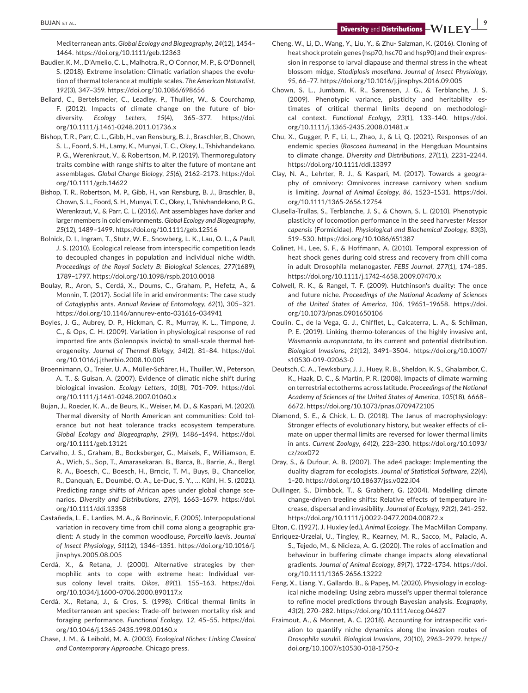**BUJAN ET AL. CONSUMPTER AND THE SET ALL ASSESSED AS A PROPERTY AND INTERFERIT AT A PROPERTY AND IS STRIP LIFE AND INCOME A PARTICLE TO A PROPERTY AND IS STRIP LIFE AND INCOME A PARTICLE TO A PARTICLE AND INCOME A PARTI** 

Mediterranean ants. *Global Ecology and Biogeography*, *24*(12), 1454– 1464.<https://doi.org/10.1111/geb.12363>

- Baudier, K. M., D'Amelio, C. L., Malhotra, R., O'Connor, M. P., & O'Donnell, S. (2018). Extreme insolation: Climatic variation shapes the evolution of thermal tolerance at multiple scales. *The American Naturalist*, *192*(3), 347–359.<https://doi.org/10.1086/698656>
- Bellard, C., Bertelsmeier, C., Leadley, P., Thuiller, W., & Courchamp, F. (2012). Impacts of climate change on the future of biodiversity. *Ecology Letters*, *15*(4), 365–377. [https://doi.](https://doi.org/10.1111/j.1461-0248.2011.01736.x) [org/10.1111/j.1461-0248.2011.01736.x](https://doi.org/10.1111/j.1461-0248.2011.01736.x)
- Bishop, T. R., Parr, C. L., Gibb, H., van Rensburg, B. J., Braschler, B., Chown, S. L., Foord, S. H., Lamy, K., Munyai, T. C., Okey, I., Tshivhandekano, P. G., Werenkraut, V., & Robertson, M. P. (2019). Thermoregulatory traits combine with range shifts to alter the future of montane ant assemblages. *Global Change Biology*, *25*(6), 2162–2173. [https://doi.](https://doi.org/10.1111/gcb.14622) [org/10.1111/gcb.14622](https://doi.org/10.1111/gcb.14622)
- Bishop, T. R., Robertson, M. P., Gibb, H., van Rensburg, B. J., Braschler, B., Chown, S. L., Foord, S. H., Munyai, T. C., Okey, I., Tshivhandekano, P. G., Werenkraut, V., & Parr, C. L. (2016). Ant assemblages have darker and larger members in cold environments. *Global Ecology and Biogeography*, *25*(12), 1489–1499. <https://doi.org/10.1111/geb.12516>
- Bolnick, D. I., Ingram, T., Stutz, W. E., Snowberg, L. K., Lau, O. L., & Paull, J. S. (2010). Ecological release from interspecific competition leads to decoupled changes in population and individual niche width. *Proceedings of the Royal Society B: Biological Sciences*, *277*(1689), 1789–1797. <https://doi.org/10.1098/rspb.2010.0018>
- Boulay, R., Aron, S., Cerdá, X., Doums, C., Graham, P., Hefetz, A., & Monnin, T. (2017). Social life in arid environments: The case study of *Cataglyphis* ants. *Annual Review of Entomology*, *62*(1), 305–321. <https://doi.org/10.1146/annurev-ento-031616-034941>
- Boyles, J. G., Aubrey, D. P., Hickman, C. R., Murray, K. L., Timpone, J. C., & Ops, C. H. (2009). Variation in physiological response of red imported fire ants (Solenopsis invicta) to small-scale thermal heterogeneity. *Journal of Thermal Biology*, *34*(2), 81–84. [https://doi.](https://doi.org/10.1016/j.jtherbio.2008.10.005) [org/10.1016/j.jtherbio.2008.10.005](https://doi.org/10.1016/j.jtherbio.2008.10.005)
- Broennimann, O., Treier, U. A., Müller-Schärer, H., Thuiller, W., Peterson, A. T., & Guisan, A. (2007). Evidence of climatic niche shift during biological invasion. *Ecology Letters*, *10*(8), 701–709. [https://doi.](https://doi.org/10.1111/j.1461-0248.2007.01060.x) [org/10.1111/j.1461-0248.2007.01060.x](https://doi.org/10.1111/j.1461-0248.2007.01060.x)
- Bujan, J., Roeder, K. A., de Beurs, K., Weiser, M. D., & Kaspari, M. (2020). Thermal diversity of North American ant communities: Cold tolerance but not heat tolerance tracks ecosystem temperature. *Global Ecology and Biogeography*, *29*(9), 1486–1494. [https://doi.](https://doi.org/10.1111/geb.13121) [org/10.1111/geb.13121](https://doi.org/10.1111/geb.13121)
- Carvalho, J. S., Graham, B., Bocksberger, G., Maisels, F., Williamson, E. A., Wich, S., Sop, T., Amarasekaran, B., Barca, B., Barrie, A., Bergl, R. A., Boesch, C., Boesch, H., Brncic, T. M., Buys, B., Chancellor, R., Danquah, E., Doumbé, O. A., Le-Duc, S. Y., … Kühl, H. S. (2021). Predicting range shifts of African apes under global change scenarios. *Diversity and Distributions*, *27*(9), 1663–1679. [https://doi.](https://doi.org/10.1111/ddi.13358) [org/10.1111/ddi.13358](https://doi.org/10.1111/ddi.13358)
- Castañeda, L. E., Lardies, M. A., & Bozinovic, F. (2005). Interpopulational variation in recovery time from chill coma along a geographic gradient: A study in the common woodlouse, *Porcellio laevis*. *Journal of Insect Physiology*, *51*(12), 1346–1351. [https://doi.org/10.1016/j.](https://doi.org/10.1016/j.jinsphys.2005.08.005) [jinsphys.2005.08.005](https://doi.org/10.1016/j.jinsphys.2005.08.005)
- Cerdá, X., & Retana, J. (2000). Alternative strategies by thermophilic ants to cope with extreme heat: Individual versus colony level traits. *Oikos*, *89*(1), 155–163. [https://doi.](https://doi.org/10.1034/j.1600-0706.2000.890117.x) [org/10.1034/j.1600-0706.2000.890117.x](https://doi.org/10.1034/j.1600-0706.2000.890117.x)
- Cerdá, X., Retana, J., & Cros, S. (1998). Critical thermal limits in Mediterranean ant species: Trade-off between mortality risk and foraging performance. *Functional Ecology*, *12*, 45–55. [https://doi.](https://doi.org/10.1046/j.1365-2435.1998.00160.x) [org/10.1046/j.1365-2435.1998.00160.x](https://doi.org/10.1046/j.1365-2435.1998.00160.x)
- Chase, J. M., & Leibold, M. A. (2003). *Ecological Niches: Linking Classical and Contemporary Approache*. Chicago press.
- Cheng, W., Li, D., Wang, Y., Liu, Y., & Zhu- Salzman, K. (2016). Cloning of heat shock protein genes (hsp70, hsc70 and hsp90) and their expression in response to larval diapause and thermal stress in the wheat blossom midge, *Sitodiplosis mosellana*. *Journal of Insect Physiology*, *95*, 66–77.<https://doi.org/10.1016/j.jinsphys.2016.09.005>
- Chown, S. L., Jumbam, K. R., Sørensen, J. G., & Terblanche, J. S. (2009). Phenotypic variance, plasticity and heritability estimates of critical thermal limits depend on methodological context. *Functional Ecology*, *23*(1), 133–140. [https://doi.](https://doi.org/10.1111/j.1365-2435.2008.01481.x) [org/10.1111/j.1365-2435.2008.01481.x](https://doi.org/10.1111/j.1365-2435.2008.01481.x)
- Chu, X., Gugger, P. F., Li, L., Zhao, J., & Li, Q. (2021). Responses of an endemic species (*Roscoea humeana*) in the Hengduan Mountains to climate change. *Diversity and Distributions*, *27*(11), 2231–2244. <https://doi.org/10.1111/ddi.13397>
- Clay, N. A., Lehrter, R. J., & Kaspari, M. (2017). Towards a geography of omnivory: Omnivores increase carnivory when sodium is limiting. *Journal of Animal Ecology*, *86*, 1523–1531. [https://doi.](https://doi.org/10.1111/1365-2656.12754) [org/10.1111/1365-2656.12754](https://doi.org/10.1111/1365-2656.12754)
- Clusella-Trullas, S., Terblanche, J. S., & Chown, S. L. (2010). Phenotypic plasticity of locomotion performance in the seed harvester *Messor capensis* (Formicidae). *Physiological and Biochemical Zoology*, *83*(3), 519–530.<https://doi.org/10.1086/651387>
- Colinet, H., Lee, S. F., & Hoffmann, A. (2010). Temporal expression of heat shock genes during cold stress and recovery from chill coma in adult Drosophila melanogaster. *FEBS Journal*, *277*(1), 174–185. <https://doi.org/10.1111/j.1742-4658.2009.07470.x>
- Colwell, R. K., & Rangel, T. F. (2009). Hutchinson's duality: The once and future niche. *Proceedings of the National Academy of Sciences of the United States of America*, *106*, 19651–19658. [https://doi.](https://doi.org/10.1073/pnas.0901650106) [org/10.1073/pnas.0901650106](https://doi.org/10.1073/pnas.0901650106)
- Coulin, C., de la Vega, G. J., Chifflet, L., Calcaterra, L. A., & Schilman, P. E. (2019). Linking thermo-tolerances of the highly invasive ant, *Wasmannia auropunctata*, to its current and potential distribution. *Biological Invasions*, *21*(12), 3491–3504. [https://doi.org/10.1007/](https://doi.org/10.1007/s10530-019-02063-0) [s10530-019-02063-0](https://doi.org/10.1007/s10530-019-02063-0)
- Deutsch, C. A., Tewksbury, J. J., Huey, R. B., Sheldon, K. S., Ghalambor, C. K., Haak, D. C., & Martin, P. R. (2008). Impacts of climate warming on terrestrial ectotherms across latitude. *Proceedings of the National Academy of Sciences of the United States of America*, *105*(18), 6668– 6672.<https://doi.org/10.1073/pnas.0709472105>
- Diamond, S. E., & Chick, L. D. (2018). The Janus of macrophysiology: Stronger effects of evolutionary history, but weaker effects of climate on upper thermal limits are reversed for lower thermal limits in ants. *Current Zoology*, *64*(2), 223–230. [https://doi.org/10.1093/](https://doi.org/10.1093/cz/zox072) [cz/zox072](https://doi.org/10.1093/cz/zox072)
- Dray, S., & Dufour, A. B. (2007). The ade4 package: Implementing the duality diagram for ecologists. *Journal of Statistical Software*, *22*(4), 1–20.<https://doi.org/10.18637/jss.v022.i04>
- Dullinger, S., Dirnböck, T., & Grabherr, G. (2004). Modelling climate change-driven treeline shifts: Relative effects of temperature increase, dispersal and invasibility. *Journal of Ecology*, *92*(2), 241–252. <https://doi.org/10.1111/j.0022-0477.2004.00872.x>

Elton, C. (1927). J. Huxley (ed.), *Animal Ecology*. The MacMillan Company.

- Enriquez-Urzelai, U., Tingley, R., Kearney, M. R., Sacco, M., Palacio, A. S., Tejedo, M., & Nicieza, A. G. (2020). The roles of acclimation and behaviour in buffering climate change impacts along elevational gradients. *Journal of Animal Ecology*, *89*(7), 1722–1734. [https://doi.](https://doi.org/10.1111/1365-2656.13222) [org/10.1111/1365-2656.13222](https://doi.org/10.1111/1365-2656.13222)
- Feng, X., Liang, Y., Gallardo, B., & Papeş, M. (2020). Physiology in ecological niche modeling: Using zebra mussel's upper thermal tolerance to refine model predictions through Bayesian analysis. *Ecography*, *43*(2), 270–282. <https://doi.org/10.1111/ecog.04627>
- Fraimout, A., & Monnet, A. C. (2018). Accounting for intraspecific variation to quantify niche dynamics along the invasion routes of *Drosophila suzukii*. *Biological Invasions*, *20*(10), 2963–2979. [https://](https://doi.org/10.1007/s10530-018-1750-z) [doi.org/10.1007/s10530-018-1750-z](https://doi.org/10.1007/s10530-018-1750-z)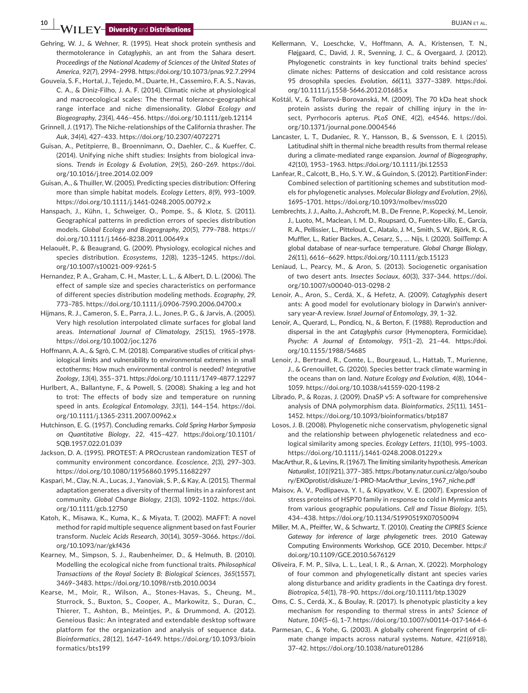**10 <b>| EY-** Diversity and Distributions **| CONSTRANTIAL CONSTRANTIAL** BUJAN ET AL.

- Gehring, W. J., & Wehner, R. (1995). Heat shock protein synthesis and thermotolerance in *Cataglyphis*, an ant from the Sahara desert. *Proceedings of the National Academy of Sciences of the United States of America*, *92*(7), 2994–2998.<https://doi.org/10.1073/pnas.92.7.2994>
- Gouveia, S. F., Hortal, J., Tejedo, M., Duarte, H., Cassemiro, F. A. S., Navas, C. A., & Diniz-Filho, J. A. F. (2014). Climatic niche at physiological and macroecological scales: The thermal tolerance-geographical range interface and niche dimensionality. *Global Ecology and Biogeography*, *23*(4), 446–456.<https://doi.org/10.1111/geb.12114>
- Grinnell, J. (1917). The Niche-relationships of the California thrasher. *The Auk*, *34*(4), 427–433. <https://doi.org/10.2307/4072271>
- Guisan, A., Petitpierre, B., Broennimann, O., Daehler, C., & Kueffer, C. (2014). Unifying niche shift studies: Insights from biological invasions. *Trends in Ecology & Evolution*, *29*(5), 260–269. [https://doi.](https://doi.org/10.1016/j.tree.2014.02.009) [org/10.1016/j.tree.2014.02.009](https://doi.org/10.1016/j.tree.2014.02.009)
- Guisan, A., & Thuiller, W. (2005). Predicting species distribution: Offering more than simple habitat models. *Ecology Letters*, *8*(9), 993–1009. <https://doi.org/10.1111/j.1461-0248.2005.00792.x>
- Hanspach, J., Kühn, I., Schweiger, O., Pompe, S., & Klotz, S. (2011). Geographical patterns in prediction errors of species distribution models. *Global Ecology and Biogeography*, *20*(5), 779–788. [https://](https://doi.org/10.1111/j.1466-8238.2011.00649.x) [doi.org/10.1111/j.1466-8238.2011.00649.x](https://doi.org/10.1111/j.1466-8238.2011.00649.x)
- Helaouët, P., & Beaugrand, G. (2009). Physiology, ecological niches and species distribution. *Ecosystems*, *12*(8), 1235–1245. [https://doi.](https://doi.org/10.1007/s10021-009-9261-5) [org/10.1007/s10021-009-9261-5](https://doi.org/10.1007/s10021-009-9261-5)
- Hernandez, P. A., Graham, C. H., Master, L. L., & Albert, D. L. (2006). The effect of sample size and species characteristics on performance of different species distribution modeling methods. *Ecography*, *29*, 773–785.<https://doi.org/10.1111/j.0906-7590.2006.04700.x>
- Hijmans, R. J., Cameron, S. E., Parra, J. L., Jones, P. G., & Jarvis, A. (2005). Very high resolution interpolated climate surfaces for global land areas. *International Journal of Climatology*, *25*(15), 1965–1978. <https://doi.org/10.1002/joc.1276>
- Hoffmann, A. A., & Sgrò, C. M. (2018). Comparative studies of critical physiological limits and vulnerability to environmental extremes in small ectotherms: How much environmental control is needed? *Integrative Zoology*, *13*(4), 355–371.<https://doi.org/10.1111/1749-4877.12297>
- Hurlbert, A., Ballantyne, F., & Powell, S. (2008). Shaking a leg and hot to trot: The effects of body size and temperature on running speed in ants. *Ecological Entomology*, *33*(1), 144–154. [https://doi.](https://doi.org/10.1111/j.1365-2311.2007.00962.x) [org/10.1111/j.1365-2311.2007.00962.x](https://doi.org/10.1111/j.1365-2311.2007.00962.x)
- Hutchinson, E. G. (1957). Concluding remarks. *Cold Spring Harbor Symposia on Quantitative Biology*, *22*, 415–427. [https://doi.org/10.1101/](https://doi.org/10.1101/SQB.1957.022.01.039) [SQB.1957.022.01.039](https://doi.org/10.1101/SQB.1957.022.01.039)
- Jackson, D. A. (1995). PROTEST: A PROcrustean randomization TEST of community environment concordance. *Ecoscience*, *2*(3), 297–303. <https://doi.org/10.1080/11956860.1995.11682297>
- Kaspari, M., Clay, N. A., Lucas, J., Yanoviak, S. P., & Kay, A. (2015). Thermal adaptation generates a diversity of thermal limits in a rainforest ant community. *Global Change Biology*, *21*(3), 1092–1102. [https://doi.](https://doi.org/10.1111/gcb.12750) [org/10.1111/gcb.12750](https://doi.org/10.1111/gcb.12750)
- Katoh, K., Misawa, K., Kuma, K., & Miyata, T. (2002). MAFFT: A novel method for rapid multiple sequence alignment based on fast Fourier transform. *Nucleic Acids Research*, *30*(14), 3059–3066. [https://doi.](https://doi.org/10.1093/nar/gkf436) [org/10.1093/nar/gkf436](https://doi.org/10.1093/nar/gkf436)
- Kearney, M., Simpson, S. J., Raubenheimer, D., & Helmuth, B. (2010). Modelling the ecological niche from functional traits. *Philosophical Transactions of the Royal Society B: Biological Sciences*, *365*(1557), 3469–3483.<https://doi.org/10.1098/rstb.2010.0034>
- Kearse, M., Moir, R., Wilson, A., Stones-Havas, S., Cheung, M., Sturrock, S., Buxton, S., Cooper, A., Markowitz, S., Duran, C., Thierer, T., Ashton, B., Meintjes, P., & Drummond, A. (2012). Geneious Basic: An integrated and extendable desktop software platform for the organization and analysis of sequence data. *Bioinformatics*, *28*(12), 1647–1649. [https://doi.org/10.1093/bioin](https://doi.org/10.1093/bioinformatics/bts199) [formatics/bts199](https://doi.org/10.1093/bioinformatics/bts199)
- Kellermann, V., Loeschcke, V., Hoffmann, A. A., Kristensen, T. N., Fløjgaard, C., David, J. R., Svenning, J. C., & Overgaard, J. (2012). Phylogenetic constraints in key functional traits behind species' climate niches: Patterns of desiccation and cold resistance across 95 drosophila species. *Evolution*, *66*(11), 3377–3389. [https://doi.](https://doi.org/10.1111/j.1558-5646.2012.01685.x) [org/10.1111/j.1558-5646.2012.01685.x](https://doi.org/10.1111/j.1558-5646.2012.01685.x)
- Koštál, V., & Tollarová-Borovanská, M. (2009). The 70 kDa heat shock protein assists during the repair of chilling injury in the insect, Pyrrhocoris apterus. *PLoS ONE*, *4*(2), e4546. [https://doi.](https://doi.org/10.1371/journal.pone.0004546) [org/10.1371/journal.pone.0004546](https://doi.org/10.1371/journal.pone.0004546)
- Lancaster, L. T., Dudaniec, R. Y., Hansson, B., & Svensson, E. I. (2015). Latitudinal shift in thermal niche breadth results from thermal release during a climate-mediated range expansion. *Journal of Biogeography*, *42*(10), 1953–1963. <https://doi.org/10.1111/jbi.12553>
- Lanfear, R., Calcott, B., Ho, S. Y. W., & Guindon, S. (2012). PartitionFinder: Combined selection of partitioning schemes and substitution models for phylogenetic analyses. *Molecular Biology and Evolution*, *29*(6), 1695–1701. <https://doi.org/10.1093/molbev/mss020>
- Lembrechts, J. J., Aalto, J., Ashcroft, M. B., De Frenne, P., Kopecký, M., Lenoir, J., Luoto, M., Maclean, I. M. D., Roupsard, O., Fuentes-Lillo, E., García, R. A., Pellissier, L., Pitteloud, C., Alatalo, J. M., Smith, S. W., Björk, R. G., Muffler, L., Ratier Backes, A., Cesarz, S., … Nijs, I. (2020). SoilTemp: A global database of near-surface temperature. *Global Change Biology*, *26*(11), 6616–6629. <https://doi.org/10.1111/gcb.15123>
- Leniaud, L., Pearcy, M., & Aron, S. (2013). Sociogenetic organisation of two desert ants. *Insectes Sociaux*, *60*(3), 337–344. [https://doi.](https://doi.org/10.1007/s00040-013-0298-2) [org/10.1007/s00040-013-0298-2](https://doi.org/10.1007/s00040-013-0298-2)
- Lenoir, A., Aron, S., Cerdá, X., & Hefetz, A. (2009). *Cataglyphis* desert ants: A good model for evolutionary biology in Darwin's anniversary year-A review. *Israel Journal of Entomology*, *39*, 1–32.
- Lenoir, A., Querard, L., Pondicq, N., & Berton, F. (1988). Reproduction and dispersal in the ant *Cataglyphis cursor* (Hymenoptera, Formicidae). *Psyche: A Journal of Entomology*, *95*(1–2), 21–44. [https://doi.](https://doi.org/10.1155/1988/54685) [org/10.1155/1988/54685](https://doi.org/10.1155/1988/54685)
- Lenoir, J., Bertrand, R., Comte, L., Bourgeaud, L., Hattab, T., Murienne, J., & Grenouillet, G. (2020). Species better track climate warming in the oceans than on land. *Nature Ecology and Evolution*, *4*(8), 1044– 1059.<https://doi.org/10.1038/s41559-020-1198-2>
- Librado, P., & Rozas, J. (2009). DnaSP v5: A software for comprehensive analysis of DNA polymorphism data. *Bioinformatics*, *25*(11), 1451– 1452. <https://doi.org/10.1093/bioinformatics/btp187>
- Losos, J. B. (2008). Phylogenetic niche conservatism, phylogenetic signal and the relationship between phylogenetic relatedness and ecological similarity among species. *Ecology Letters*, *11*(10), 995–1003. <https://doi.org/10.1111/j.1461-0248.2008.01229.x>
- MacArthur, R., & Levins, R. (1967). The limiting similarity hypothesis. *American Naturalist*, *101*(921), 377–385. [https://botany.natur.cuni.cz/algo/soubo](https://botany.natur.cuni.cz/algo/soubory/EKOprotist/diskuze/1-PRO-MacArthur_Levins_1967_niche.pdf) [ry/EKOprotist/diskuze/1-PRO-MacArthur\\_Levins\\_1967\\_niche.pdf](https://botany.natur.cuni.cz/algo/soubory/EKOprotist/diskuze/1-PRO-MacArthur_Levins_1967_niche.pdf)
- Maisov, A. V., Podlipaeva, Y. I., & Kipyatkov, V. E. (2007). Expression of stress proteins of HSP70 family in response to cold in *Myrmica* ants from various geographic populations. *Cell and Tissue Biology*, *1*(5), 434–438.<https://doi.org/10.1134/S1990519X07050094>
- Miller, M. A., Pfeiffer, W., & Schwartz, T. (2010). *Creating the CIPRES Science Gateway for inference of large phylogenetic trees*. 2010 Gateway Computing Environments Workshop, GCE 2010, December. [https://](https://doi.org/10.1109/GCE.2010.5676129) [doi.org/10.1109/GCE.2010.5676129](https://doi.org/10.1109/GCE.2010.5676129)
- Oliveira, F. M. P., Silva, L. L., Leal, I. R., & Arnan, X. (2022). Morphology of four common and phylogenetically distant ant species varies along disturbance and aridity gradients in the Caatinga dry forest. *Biotropica*, *54*(1), 78–90. <https://doi.org/10.1111/btp.13029>
- Oms, C. S., Cerdá, X., & Boulay, R. (2017). Is phenotypic plasticity a key mechanism for responding to thermal stress in ants? *Science of Nature*, *104*(5–6), 1–7.<https://doi.org/10.1007/s00114-017-1464-6>
- Parmesan, C., & Yohe, G. (2003). A globally coherent fingerprint of climate change impacts across natural systems. *Nature*, *421*(6918), 37–42. <https://doi.org/10.1038/nature01286>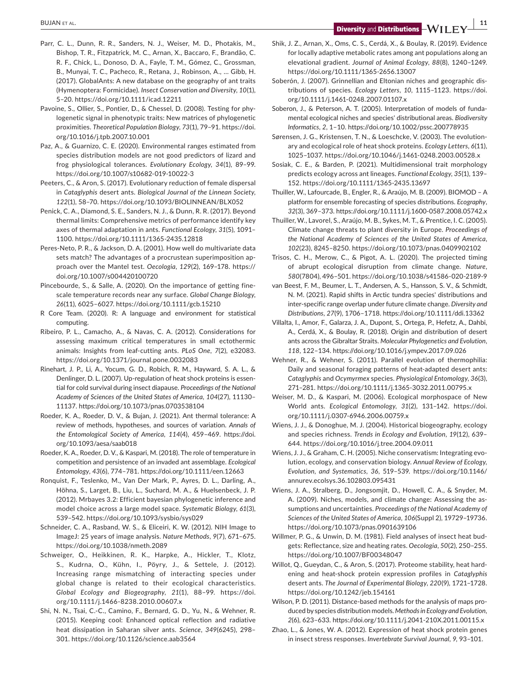**BUJAN ET AL. Diversity** and **Distributions** 

- Parr, C. L., Dunn, R. R., Sanders, N. J., Weiser, M. D., Photakis, M., Bishop, T. R., Fitzpatrick, M. C., Arnan, X., Baccaro, F., Brandão, C. R. F., Chick, L., Donoso, D. A., Fayle, T. M., Gómez, C., Grossman, B., Munyai, T. C., Pacheco, R., Retana, J., Robinson, A., … Gibb, H. (2017). GlobalAnts: A new database on the geography of ant traits (Hymenoptera: Formicidae). *Insect Conservation and Diversity*, *10*(1), 5–20. <https://doi.org/10.1111/icad.12211>
- Pavoine, S., Ollier, S., Pontier, D., & Chessel, D. (2008). Testing for phylogenetic signal in phenotypic traits: New matrices of phylogenetic proximities. *Theoretical Population Biology*, *73*(1), 79–91. [https://doi.](https://doi.org/10.1016/j.tpb.2007.10.001) [org/10.1016/j.tpb.2007.10.001](https://doi.org/10.1016/j.tpb.2007.10.001)
- Paz, A., & Guarnizo, C. E. (2020). Environmental ranges estimated from species distribution models are not good predictors of lizard and frog physiological tolerances. *Evolutionary Ecology*, *34*(1), 89–99. <https://doi.org/10.1007/s10682-019-10022-3>
- Peeters, C., & Aron, S. (2017). Evolutionary reduction of female dispersal in *Cataglyphis* desert ants. *Biological Journal of the Linnean Society*, *122*(1), 58–70.<https://doi.org/10.1093/BIOLINNEAN/BLX052>
- Penick, C. A., Diamond, S. E., Sanders, N. J., & Dunn, R. R. (2017). Beyond thermal limits: Comprehensive metrics of performance identify key axes of thermal adaptation in ants. *Functional Ecology*, *31*(5), 1091– 1100. <https://doi.org/10.1111/1365-2435.12818>
- Peres-Neto, P. R., & Jackson, D. A. (2001). How well do multivariate data sets match? The advantages of a procrustean superimposition approach over the Mantel test. *Oecologia*, *129*(2), 169–178. [https://](https://doi.org/10.1007/s004420100720) [doi.org/10.1007/s004420100720](https://doi.org/10.1007/s004420100720)
- Pincebourde, S., & Salle, A. (2020). On the importance of getting finescale temperature records near any surface. *Global Change Biology*, *26*(11), 6025–6027. <https://doi.org/10.1111/gcb.15210>
- R Core Team. (2020). R: A language and environment for statistical computing.
- Ribeiro, P. L., Camacho, A., & Navas, C. A. (2012). Considerations for assessing maximum critical temperatures in small ectothermic animals: Insights from leaf-cutting ants. *PLoS One*, *7*(2), e32083. <https://doi.org/10.1371/journal.pone.0032083>
- Rinehart, J. P., Li, A., Yocum, G. D., Robich, R. M., Hayward, S. A. L., & Denlinger, D. L. (2007). Up-regulation of heat shock proteins is essential for cold survival during insect diapause. *Proceedings of the National Academy of Sciences of the United States of America*, *104*(27), 11130– 11137.<https://doi.org/10.1073/pnas.0703538104>
- Roeder, K. A., Roeder, D. V., & Bujan, J. (2021). Ant thermal tolerance: A review of methods, hypotheses, and sources of variation. *Annals of the Entomological Society of America*, *114*(4), 459–469. [https://doi.](https://doi.org/10.1093/aesa/saab018) [org/10.1093/aesa/saab018](https://doi.org/10.1093/aesa/saab018)
- Roeder, K. A., Roeder, D. V., & Kaspari, M. (2018). The role of temperature in competition and persistence of an invaded ant assemblage. *Ecological Entomology*, *43*(6), 774–781. <https://doi.org/10.1111/een.12663>
- Ronquist, F., Teslenko, M., Van Der Mark, P., Ayres, D. L., Darling, A., Höhna, S., Larget, B., Liu, L., Suchard, M. A., & Huelsenbeck, J. P. (2012). Mrbayes 3.2: Efficient bayesian phylogenetic inference and model choice across a large model space. *Systematic Biology*, *61*(3), 539–542. <https://doi.org/10.1093/sysbio/sys029>
- Schneider, C. A., Rasband, W. S., & Eliceiri, K. W. (2012). NIH Image to ImageJ: 25 years of image analysis. *Nature Methods*, *9*(7), 671–675. <https://doi.org/10.1038/nmeth.2089>
- Schweiger, O., Heikkinen, R. K., Harpke, A., Hickler, T., Klotz, S., Kudrna, O., Kühn, I., Pöyry, J., & Settele, J. (2012). Increasing range mismatching of interacting species under global change is related to their ecological characteristics. *Global Ecology and Biogeography*, *21*(1), 88–99. [https://doi.](https://doi.org/10.1111/j.1466-8238.2010.00607.x) [org/10.1111/j.1466-8238.2010.00607.x](https://doi.org/10.1111/j.1466-8238.2010.00607.x)
- Shi, N. N., Tsai, C.-C., Camino, F., Bernard, G. D., Yu, N., & Wehner, R. (2015). Keeping cool: Enhanced optical reflection and radiative heat dissipation in Saharan silver ants. *Science*, *349*(6245), 298– 301. <https://doi.org/10.1126/science.aab3564>
- Shik, J. Z., Arnan, X., Oms, C. S., Cerdá, X., & Boulay, R. (2019). Evidence for locally adaptive metabolic rates among ant populations along an elevational gradient. *Journal of Animal Ecology*, *88*(8), 1240–1249. <https://doi.org/10.1111/1365-2656.13007>
- Soberón, J. (2007). Grinnellian and Eltonian niches and geographic distributions of species. *Ecology Letters*, *10*, 1115–1123. [https://doi.](https://doi.org/10.1111/j.1461-0248.2007.01107.x) [org/10.1111/j.1461-0248.2007.01107.x](https://doi.org/10.1111/j.1461-0248.2007.01107.x)
- Soberon, J., & Peterson, A. T. (2005). Interpretation of models of fundamental ecological niches and species' distributional areas. *Biodiversity Informatics*, *2*, 1–10. <https://doi.org/10.1002/pssc.200778935>
- Sørensen, J. G., Kristensen, T. N., & Loeschcke, V. (2003). The evolutionary and ecological role of heat shock proteins. *Ecology Letters*, *6*(11), 1025–1037. <https://doi.org/10.1046/j.1461-0248.2003.00528.x>
- Sosiak, C. E., & Barden, P. (2021). Multidimensional trait morphology predicts ecology across ant lineages. *Functional Ecology*, *35*(1), 139– 152. <https://doi.org/10.1111/1365-2435.13697>
- Thuiller, W., Lafourcade, B., Engler, R., & Araújo, M. B. (2009). BIOMOD A platform for ensemble forecasting of species distributions. *Ecography*, *32*(3), 369–373.<https://doi.org/10.1111/j.1600-0587.2008.05742.x>
- Thuiller, W., Lavorel, S., Araújo, M. B., Sykes, M. T., & Prentice, I. C. (2005). Climate change threats to plant diversity in Europe. *Proceedings of the National Academy of Sciences of the United States of America*, *102*(23), 8245–8250.<https://doi.org/10.1073/pnas.0409902102>
- Trisos, C. H., Merow, C., & Pigot, A. L. (2020). The projected timing of abrupt ecological disruption from climate change. *Nature*, *580*(7804), 496–501.<https://doi.org/10.1038/s41586-020-2189-9>
- van Beest, F. M., Beumer, L. T., Andersen, A. S., Hansson, S. V., & Schmidt, N. M. (2021). Rapid shifts in Arctic tundra species' distributions and inter-specific range overlap under future climate change. *Diversity and Distributions*, *27*(9), 1706–1718.<https://doi.org/10.1111/ddi.13362>
- Villalta, I., Amor, F., Galarza, J. A., Dupont, S., Ortega, P., Hefetz, A., Dahbi, A., Cerdá, X., & Boulay, R. (2018). Origin and distribution of desert ants across the Gibraltar Straits. *Molecular Phylogenetics and Evolution*, *118*, 122–134. <https://doi.org/10.1016/j.ympev.2017.09.026>
- Wehner, R., & Wehner, S. (2011). Parallel evolution of thermophilia: Daily and seasonal foraging patterns of heat-adapted desert ants: *Cataglyphis* and *Ocymyrmex* species. *Physiological Entomology*, *36*(3), 271–281. <https://doi.org/10.1111/j.1365-3032.2011.00795.x>
- Weiser, M. D., & Kaspari, M. (2006). Ecological morphospace of New World ants. *Ecological Entomology*, *31*(2), 131–142. [https://doi.](https://doi.org/10.1111/j.0307-6946.2006.00759.x) [org/10.1111/j.0307-6946.2006.00759.x](https://doi.org/10.1111/j.0307-6946.2006.00759.x)
- Wiens, J. J., & Donoghue, M. J. (2004). Historical biogeography, ecology and species richness. *Trends in Ecology and Evolution*, *19*(12), 639– 644.<https://doi.org/10.1016/j.tree.2004.09.011>
- Wiens, J. J., & Graham, C. H. (2005). Niche conservatism: Integrating evolution, ecology, and conservation biology. *Annual Review of Ecology, Evolution, and Systematics*, *36*, 519–539. [https://doi.org/10.1146/](https://doi.org/10.1146/annurev.ecolsys.36.102803.095431) [annurev.ecolsys.36.102803.095431](https://doi.org/10.1146/annurev.ecolsys.36.102803.095431)
- Wiens, J. A., Stralberg, D., Jongsomjit, D., Howell, C. A., & Snyder, M. A. (2009). Niches, models, and climate change: Assessing the assumptions and uncertainties. *Proceedings of the National Academy of Sciences of the United States of America*, *106*(Suppl 2), 19729–19736. <https://doi.org/10.1073/pnas.0901639106>
- Willmer, P. G., & Unwin, D. M. (1981). Field analyses of insect heat budgets: Reflectance, size and heating rates. *Oecologia*, *50*(2), 250–255. <https://doi.org/10.1007/BF00348047>
- Willot, Q., Gueydan, C., & Aron, S. (2017). Proteome stability, heat hardening and heat-shock protein expression profiles in *Cataglyphis* desert ants. *The Journal of Experimental Biology*, *220*(9), 1721–1728. <https://doi.org/10.1242/jeb.154161>
- Wilson, P. D. (2011). Distance-based methods for the analysis of maps produced by species distribution models. *Methods in Ecology and Evolution*, *2*(6), 623–633.<https://doi.org/10.1111/j.2041-210X.2011.00115.x>
- Zhao, L., & Jones, W. A. (2012). Expression of heat shock protein genes in insect stress responses. *Invertebrate Survival Journal*, *9*, 93–101.